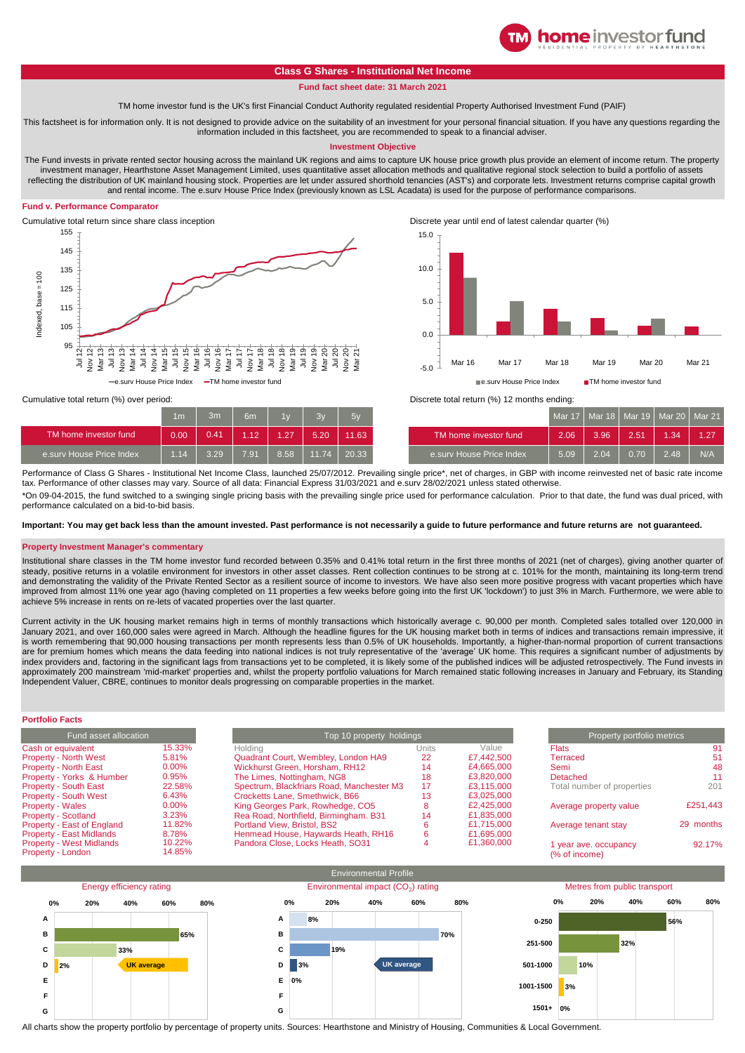

# **Class G Shares - Institutional Net Income**

## **Fund fact sheet date: 31 March 2021**

TM home investor fund is the UK's first Financial Conduct Authority regulated residential Property Authorised Investment Fund (PAIF)

This factsheet is for information only. It is not designed to provide advice on the suitability of an investment for your personal financial situation. If you have any questions regarding the information included in this factsheet, you are recommended to speak to a financial adviser.

#### **Investment Objective**

The Fund invests in private rented sector housing across the mainland UK regions and aims to capture UK house price growth plus provide an element of income return. The property investment manager, Hearthstone Asset Management Limited, uses quantitative asset allocation methods and qualitative regional stock selection to build a portfolio of assets reflecting the distribution of UK mainland housing stock. Properties are let under assured shorthold tenancies (AST's) and corporate lets. Investment returns comprise capital growth and rental income. The e.surv House Price Index (previously known as LSL Acadata) is used for the purpose of performance comparisons.

### **Fund v. Performance Comparator**





|                          | 1 <sub>m</sub> | 3m   | 6m       | 1 <sub>Y</sub> | 2v    | 5v    |                          |
|--------------------------|----------------|------|----------|----------------|-------|-------|--------------------------|
| TM home investor fund    | 0.00           | 0.41 | $1.12 -$ | 1.27           | 5.20  | 11.63 | TM home investor fund    |
| e.sury House Price Index | 1.14           | 3.29 | 7.91     | 8.58           | 11.74 | 20.33 | e.surv House Price Index |



| 1 <sub>m</sub> | 3m   | 6m   | 1v   | 3v    | 5v    |                          |      |      | Mar 17   Mar 18   Mar 19   Mar 20   Mar 21 |      |      |
|----------------|------|------|------|-------|-------|--------------------------|------|------|--------------------------------------------|------|------|
| 0.00           | 0.41 | 1.12 | 1.27 | 5.20  | 11.63 | TM home investor fund    | 2.06 | 3.96 | 2.51                                       | 1.34 | 1.27 |
| 1.14           | 3.29 | 7.91 | 8.58 | 11.74 | 20.33 | e.sury House Price Index | 5.09 | 2.04 | 0.70                                       | 2.48 | N/A  |

Performance of Class G Shares - Institutional Net Income Class, launched 25/07/2012. Prevailing single price\*, net of charges, in GBP with income reinvested net of basic rate income tax. Performance of other classes may vary. Source of all data: Financial Express 31/03/2021 and e.surv 28/02/2021 unless stated otherwise. \*On 09-04-2015, the fund switched to a swinging single pricing basis with the prevailing single price used for performance calculation. Prior to that date, the fund was dual priced, with

performance calculated on a bid-to-bid basis.

**Important: You may get back less than the amount invested. Past performance is not necessarily a guide to future performance and future returns are not guaranteed.** 

### **Property Investment Manager's commentary**

Institutional share classes in the TM home investor fund recorded between 0.35% and 0.41% total return in the first three months of 2021 (net of charges), giving another quarter of steady, positive returns in a volatile environment for investors in other asset classes. Rent collection continues to be strong at c. 101% for the month, maintaining its long-term trend and demonstrating the validity of the Private Rented Sector as a resilient source of income to investors. We have also seen more positive progress with vacant properties which have improved from almost 11% one year ago (having completed on 11 properties a few weeks before going into the first UK 'lockdown') to just 3% in March. Furthermore, we were able to achieve 5% increase in rents on re-lets of vacated properties over the last quarter.

Current activity in the UK housing market remains high in terms of monthly transactions which historically average c. 90,000 per month. Completed sales totalled over 120,000 in January 2021, and over 160,000 sales were agreed in March. Although the headline figures for the UK housing market both in terms of indices and transactions remain impressive, it is worth remembering that 90,000 housing transactions per month represents less than 0.5% of UK households. Importantly, a higher-than-normal proportion of current transactions are for premium homes which means the data feeding into national indices is not truly representative of the 'average' UK home. This requires a significant number of adjustments by index providers and, factoring in the significant lags from transactions yet to be completed, it is likely some of the published indices will be adjusted retrospectively. The Fund invests in approximately 200 mainstream 'mid-market' properties and, whilst the property portfolio valuations for March remained static following increases in January and February, its Standing Independent Valuer, CBRE, continues to monitor deals progressing on comparable properties in the market.

**Portfolio Facts**

| Fund asset allocation           |          | Top 10 property holdings                  | Property portfolio metrics |            |                            |           |
|---------------------------------|----------|-------------------------------------------|----------------------------|------------|----------------------------|-----------|
| Cash or equivalent              | 15.33%   | Holdina                                   | Units                      | Value      | <b>Flats</b>               | 91        |
| <b>Property - North West</b>    | 5.81%    | Quadrant Court, Wembley, London HA9       | 22                         | £7.442.500 | Terraced                   |           |
| <b>Property - North East</b>    | $0.00\%$ | Wickhurst Green, Horsham, RH12            | 14                         | £4,665,000 | Semi                       | 48        |
| Property - Yorks & Humber       | 0.95%    | The Limes, Nottingham, NG8                | 18                         | £3.820.000 | Detached                   | 11        |
| <b>Property - South East</b>    | 22.58%   | Spectrum, Blackfriars Road, Manchester M3 | 17                         | £3.115.000 | Total number of properties | 201       |
| <b>Property - South West</b>    | 6.43%    | Crocketts Lane, Smethwick, B66            | 13                         | £3,025,000 |                            |           |
| <b>Property - Wales</b>         | $0.00\%$ | King Georges Park, Rowhedge, CO5          |                            | £2,425,000 | Average property value     | £251,443  |
| <b>Property - Scotland</b>      | 3.23%    | Rea Road, Northfield, Birmingham. B31     | 14                         | £1.835.000 |                            |           |
| Property - East of England      | 11.82%   | Portland View, Bristol, BS2               |                            | £1.715.000 | Average tenant stay        | 29 months |
| <b>Property - East Midlands</b> | 8.78%    | Henmead House, Haywards Heath, RH16       | 6                          | £1,695,000 |                            |           |
| <b>Property - West Midlands</b> | 10.22%   | Pandora Close, Locks Heath, SO31          |                            | £1.360.000 | 1 year ave. occupancy      | 92.17%    |
| Property - London               | 14.85%   |                                           |                            |            | (% of income)              |           |
|                                 |          |                                           |                            |            |                            |           |

| Property portfolio metrics                                                        |                             |  |  |  |  |
|-----------------------------------------------------------------------------------|-----------------------------|--|--|--|--|
| <b>Flats</b><br><b>Terraced</b><br>Semi<br>Detached<br>Total number of properties | 91<br>51<br>48<br>11<br>201 |  |  |  |  |
| Average property value                                                            | £251.443                    |  |  |  |  |
| Average tenant stay                                                               | months<br>29                |  |  |  |  |
| 1 year ave. occupancy<br>(% of income)                                            | 92.17%                      |  |  |  |  |



All charts show the property portfolio by percentage of property units. Sources: Hearthstone and Ministry of Housing, Communities & Local Government.